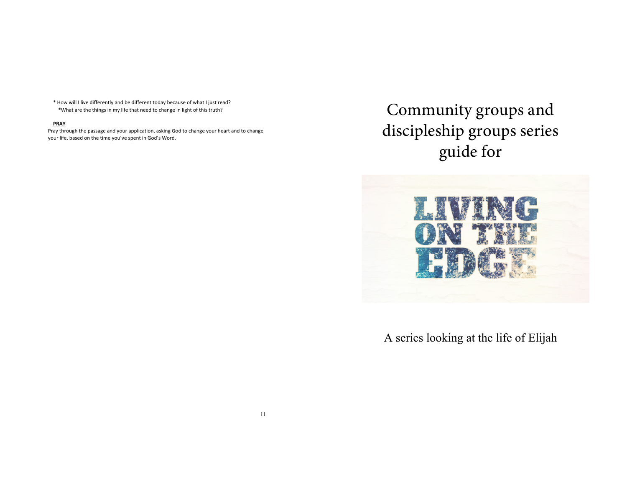\* How will I live differently and be different today because of what I just read? \*What are the things in my life that need to change in light of this truth?

## **PRAY**

Pray through the passage and your application, asking God to change your heart and to change your life, based on the time you've spent in God's Word.

Community groups and discipleship groups series guide for



A series looking at the life of Elijah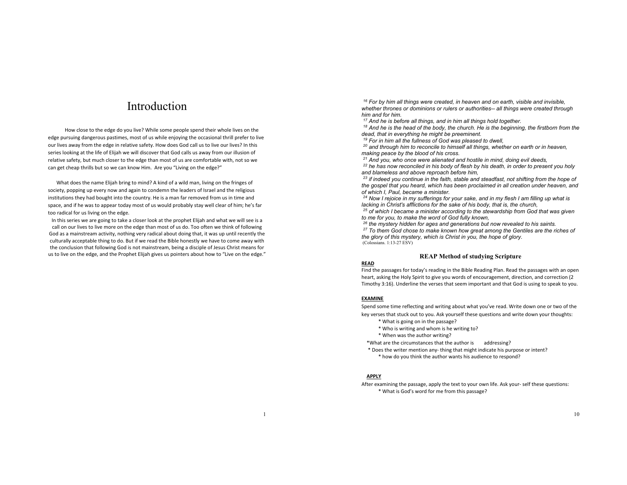# Introduction

How close to the edge do you live? While some people spend their whole lives on the edge pursuing dangerous pastimes, most of us while enjoying the occasional thrill prefer to live our lives away from the edge in relative safety. How does God call us to live our lives? In this series looking at the life of Elijah we will discover that God calls us away from our illusion of relative safety, but much closer to the edge than most of us are comfortable with, not so we can get cheap thrills but so we can know Him. Are you "Living on the edge?"

What does the name Elijah bring to mind? A kind of a wild man, living on the fringes of society, popping up every now and again to condemn the leaders of Israel and the religious institutions they had bought into the country. He is a man far removed from us in time and space, and if he was to appear today most of us would probably stay well clear of him; he's far too radical for us living on the edge.

In this series we are going to take a closer look at the prophet Elijah and what we will see is a call on our lives to live more on the edge than most of us do. Too often we think of following God as a mainstream activity, nothing very radical about doing that, it was up until recently the culturally acceptable thing to do. But if we read the Bible honestly we have to come away with the conclusion that following God is not mainstream, being a disciple of Jesus Christ means for us to live on the edge, and the Prophet Elijah gives us pointers about how to "Live on the edge."

*<sup>16</sup> For by him all things were created, in heaven and on earth, visible and invisible, whether thrones or dominions or rulers or authorities-- all things were created through him and for him.*

*<sup>17</sup> And he is before all things, and in him all things hold together.*

*<sup>18</sup> And he is the head of the body, the church. He is the beginning, the firstborn from the dead, that in everything he might be preeminent.*

*<sup>19</sup> For in him all the fullness of God was pleased to dwell,*

*<sup>20</sup> and through him to reconcile to himself all things, whether on earth or in heaven, making peace by the blood of his cross.*

*<sup>21</sup> And you, who once were alienated and hostile in mind, doing evil deeds,*

*<sup>22</sup> he has now reconciled in his body of flesh by his death, in order to present you holy and blameless and above reproach before him,*

*<sup>23</sup> if indeed you continue in the faith, stable and steadfast, not shifting from the hope of the gospel that you heard, which has been proclaimed in all creation under heaven, and of which I, Paul, became a minister.*

*<sup>24</sup> Now I rejoice in my sufferings for your sake, and in my flesh I am filling up what is lacking in Christ's afflictions for the sake of his body, that is, the church,*

*<sup>25</sup> of which I became a minister according to the stewardship from God that was given to me for you, to make the word of God fully known,*

*<sup>26</sup> the mystery hidden for ages and generations but now revealed to his saints.*

*<sup>27</sup> To them God chose to make known how great among the Gentiles are the riches of the glory of this mystery, which is Christ in you, the hope of glory.* (Colossians. 1:13-27 ESV)

#### **REAP Method of studying Scripture**

## **READ**

Find the passages for today's reading in the Bible Reading Plan. Read the passages with an open heart, asking the Holy Spirit to give you words of encouragement, direction, and correction (2 Timothy 3:16). Underline the verses that seem important and that God is using to speak to you.

## **EXAMINE**

Spend some time reflecting and writing about what you've read. Write down one or two of the

key verses that stuck out to you. Ask yourself these questions and write down your thoughts:

- \* What is going on in the passage?
- \* Who is writing and whom is he writing to?
- \* When was the author writing?

\*What are the circumstances that the author is addressing?

\* Does the writer mention any- thing that might indicate his purpose or intent? \* how do you think the author wants his audience to respond?

## **APPLY**

After examining the passage, apply the text to your own life. Ask your- self these questions: \* What is God's word for me from this passage?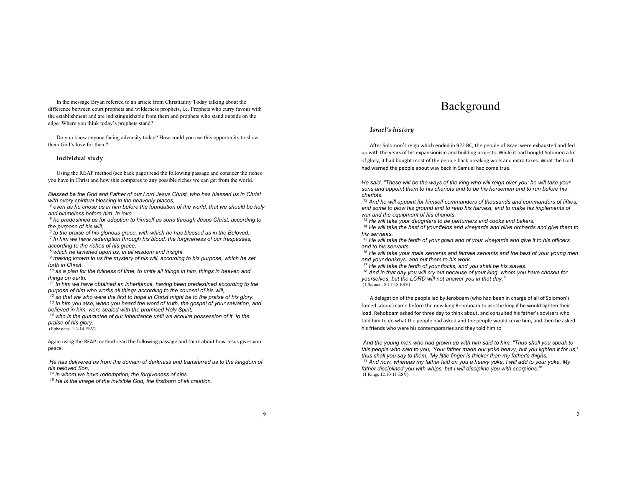In the message Bryan referred to an article from Christianity Today talking about the difference between court prophets and wilderness prophets, i.e. Prophets who curry favour with the establishment and are indistinguishable from them and prophets who stand outside on the edge. Where you think today's prophets stand?

Do you know anyone facing adversity today? How could you use this opportunity to show them God's love for them?

## **Individual study**

Using the REAP method (see back page) read the following passage and consider the riches you have in Christ and how this compares to any possible riches we can get from the world.

*Blessed be the God and Father of our Lord Jesus Christ, who has blessed us in Christ with every spiritual blessing in the heavenly places,*

*<sup>4</sup> even as he chose us in him before the foundation of the world, that we should be holy and blameless before him. In love*

*<sup>5</sup> he predestined us for adoption to himself as sons through Jesus Christ, according to the purpose of his will,*

*<sup>6</sup> to the praise of his glorious grace, with which he has blessed us in the Beloved. <sup>7</sup> In him we have redemption through his blood, the forgiveness of our trespasses, according to the riches of his grace,*

*<sup>8</sup> which he lavished upon us, in all wisdom and insight*

*<sup>9</sup> making known to us the mystery of his will, according to his purpose, which he set forth in Christ*

*<sup>10</sup> as a plan for the fullness of time, to unite all things in him, things in heaven and things on earth.*

*<sup>11</sup> In him we have obtained an inheritance, having been predestined according to the purpose of him who works all things according to the counsel of his will,*

*<sup>12</sup> so that we who were the first to hope in Christ might be to the praise of his glory.*

*<sup>13</sup> In him you also, when you heard the word of truth, the gospel of your salvation, and believed in him, were sealed with the promised Holy Spirit,*

*<sup>14</sup> who is the guarantee of our inheritance until we acquire possession of it, to the praise of his glory.*

(Ephesians. 1:3-14 ESV)

Again using the REAP method read the following passage and think about how Jesus gives you peace.

*He has delivered us from the domain of darkness and transferred us to the kingdom of his beloved Son,*

*<sup>14</sup> in whom we have redemption, the forgiveness of sins.*

*<sup>15</sup> He is the image of the invisible God, the firstborn of all creation.*

## Background

## *Israel's history*

After Solomon's reign which ended in 922 BC, the people of Israel were exhausted and fed up with the years of his expansionism and building projects. While it had bought Solomon a lot of glory, it had bought most of the people back breaking work and extra taxes. What the Lord had warned the people about way back in Samuel had come true.

*He said, "These will be the ways of the king who will reign over you: he will take your sons and appoint them to his chariots and to be his horsemen and to run before his chariots.*

*<sup>12</sup> And he will appoint for himself commanders of thousands and commanders of fifties, and some to plow his ground and to reap his harvest, and to make his implements of war and the equipment of his chariots.*

*<sup>13</sup> He will take your daughters to be perfumers and cooks and bakers.*

*<sup>14</sup> He will take the best of your fields and vineyards and olive orchards and give them to his servants.*

*<sup>15</sup> He will take the tenth of your grain and of your vineyards and give it to his officers and to his servants.*

*<sup>16</sup> He will take your male servants and female servants and the best of your young men and your donkeys, and put them to his work.*

*<sup>17</sup> He will take the tenth of your flocks, and you shall be his slaves.*

*<sup>18</sup> And in that day you will cry out because of your king, whom you have chosen for yourselves, but the LORD will not answer you in that day."* (1 Samuel. 8:11-18 ESV)

A delegation of the people led by Jeroboam (who had been in charge of all of Solomon's forced labour) came before the new king Rehoboam to ask the king if he would lighten their load. Rehoboam asked for three day to think about, and consulted his father's advisers who told him to do what the people had asked and the people would serve him, and then he asked his friends who were his contemporaries and they told him to

*And the young men who had grown up with him said to him, "Thus shall you speak to this people who said to you, 'Your father made our yoke heavy, but you lighten it for us,' thus shall you say to them, 'My little finger is thicker than my father's thighs. <sup>11</sup> And now, whereas my father laid on you a heavy yoke, I will add to your yoke. My father disciplined you with whips, but I will discipline you with scorpions.'"* (1 Kings 12:10-11 ESV)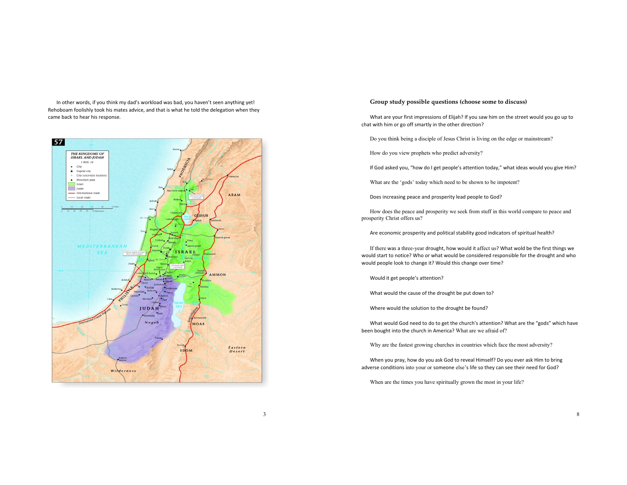In other words, if you think my dad's workload was bad, you haven't seen anything yet! Rehoboam foolishly took his mates advice, and that is what he told the delegation when they came back to hear his response.



## **Group study possible questions (choose some to discuss)**

What are your first impressions of Elijah? If you saw him on the street would you go up to chat with him or go off smartly in the other direction?

Do you think being a disciple of Jesus Christ is living on the edge or mainstream?

How do you view prophets who predict adversity?

If God asked you, "how do I get people's attention today," what ideas would you give Him?

What are the 'gods' today which need to be shown to be impotent?

Does increasing peace and prosperity lead people to God?

How does the peace and prosperity we seek from stuff in this world compare to peace and prosperity Christ offers us?

Are economic prosperity and political stability good indicators of spiritual health?

If there was a three-year drought, how would it affect us? What wold be the first things we would start to notice? Who or what would be considered responsible for the drought and who would people look to change it? Would this change over time?

Would it get people's attention?

What would the cause of the drought be put down to?

Where would the solution to the drought be found?

What would God need to do to get the church's attention? What are the "gods" which have been bought into the church in America? What are we afraid of?

Why are the fastest growing churches in countries which face the most adversity?

When you pray, how do you ask God to reveal Himself? Do you ever ask Him to bring adverse conditions into your or someone else's life so they can see their need for God?

When are the times you have spiritually grown the most in your life?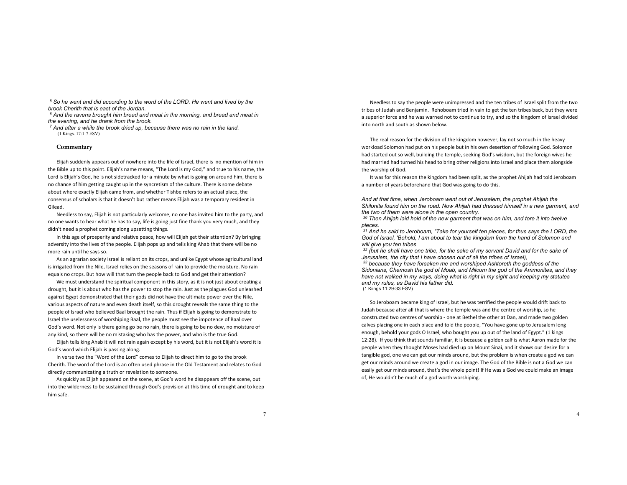*<sup>5</sup> So he went and did according to the word of the LORD. He went and lived by the brook Cherith that is east of the Jordan.*

*<sup>6</sup> And the ravens brought him bread and meat in the morning, and bread and meat in the evening, and he drank from the brook.*

*<sup>7</sup> And after a while the brook dried up, because there was no rain in the land.* (1 Kings. 17:1-7 ESV)

#### **Commentary**

Elijah suddenly appears out of nowhere into the life of Israel, there is no mention of him in the Bible up to this point. Elijah's name means, "The Lord is my God," and true to his name, the Lord is Elijah's God, he is not sidetracked for a minute by what is going on around him, there is no chance of him getting caught up in the syncretism of the culture. There is some debate about where exactly Elijah came from, and whether Tishbe refers to an actual place, the consensus of scholars is that it doesn't but rather means Elijah was a temporary resident in Gilead.

Needless to say, Elijah is not particularly welcome, no one has invited him to the party, and no one wants to hear what he has to say, life is going just fine thank you very much, and they didn't need a prophet coming along upsetting things.

In this age of prosperity and relative peace, how will Elijah get their attention? By bringing adversity into the lives of the people. Elijah pops up and tells king Ahab that there will be no more rain until he says so.

As an agrarian society Israel is reliant on its crops, and unlike Egypt whose agricultural land is irrigated from the Nile, Israel relies on the seasons of rain to provide the moisture. No rain equals no crops. But how will that turn the people back to God and get their attention?

We must understand the spiritual component in this story, as it is not just about creating a drought, but it is about who has the power to stop the rain. Just as the plagues God unleashed against Egypt demonstrated that their gods did not have the ultimate power over the Nile, various aspects of nature and even death itself, so this drought reveals the same thing to the people of Israel who believed Baal brought the rain. Thus if Elijah is going to demonstrate to Israel the uselessness of worshiping Baal, the people must see the impotence of Baal over God's word. Not only is there going go be no rain, there is going to be no dew, no moisture of any kind, so there will be no mistaking who has the power, and who is the true God.

Elijah tells king Ahab it will not rain again except by his word, but it is not Elijah's word it is God's word which Elijah is passing along.

In verse two the "Word of the Lord" comes to Elijah to direct him to go to the brook Cherith. The word of the Lord is an often used phrase in the Old Testament and relates to God directly communicating a truth or revelation to someone.

As quickly as Elijah appeared on the scene, at God's word he disappears off the scene, out into the wilderness to be sustained through God's provision at this time of drought and to keep him safe.

Needless to say the people were unimpressed and the ten tribes of Israel split from the two tribes of Judah and Benjamin. Rehoboam tried in vain to get the ten tribes back, but they were a superior force and he was warned not to continue to try, and so the kingdom of Israel divided into north and south as shown below.

The real reason for the division of the kingdom however, lay not so much in the heavy workload Solomon had put on his people but in his own desertion of following God. Solomon had started out so well, building the temple, seeking God's wisdom, but the foreign wives he had married had turned his head to bring other religions into Israel and place them alongside the worship of God.

It was for this reason the kingdom had been split, as the prophet Ahijah had told Jeroboam a number of years beforehand that God was going to do this.

*And at that time, when Jeroboam went out of Jerusalem, the prophet Ahijah the Shilonite found him on the road. Now Ahijah had dressed himself in a new garment, and the two of them were alone in the open country.*

*<sup>30</sup> Then Ahijah laid hold of the new garment that was on him, and tore it into twelve pieces.*

*<sup>31</sup> And he said to Jeroboam, "Take for yourself ten pieces, for thus says the LORD, the God of Israel, 'Behold, I am about to tear the kingdom from the hand of Solomon and will give you ten tribes*

*<sup>32</sup> (but he shall have one tribe, for the sake of my servant David and for the sake of Jerusalem, the city that I have chosen out of all the tribes of Israel),*

*<sup>33</sup> because they have forsaken me and worshiped Ashtoreth the goddess of the Sidonians, Chemosh the god of Moab, and Milcom the god of the Ammonites, and they have not walked in my ways, doing what is right in my sight and keeping my statutes and my rules, as David his father did.* (1 Kiings 11:29-33 ESV)

So Jeroboam became king of Israel, but he was terrified the people would drift back to Judah because after all that is where the temple was and the centre of worship, so he constructed two centres of worship - one at Bethel the other at Dan, and made two golden calves placing one in each place and told the people, "You have gone up to Jerusalem long enough, behold your gods O Israel, who bought you up out of the land of Egypt." (1 kings 12:28). If you think that sounds familiar, it is because a golden calf is what Aaron made for the people when they thought Moses had died up on Mount Sinai, and it shows our desire for a tangible god, one we can get our minds around, but the problem is when create a god we can get our minds around we create a god in our image. The God of the Bible is not a God we can easily get our minds around, that's the whole point! If He was a God we could make an image of, He wouldn't be much of a god worth worshiping.